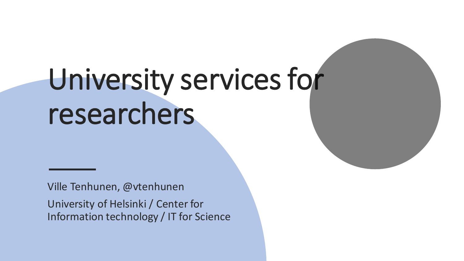# University services for researchers

Ville Tenhunen, @vtenhunen University of Helsinki / Center for Information technology / IT for Science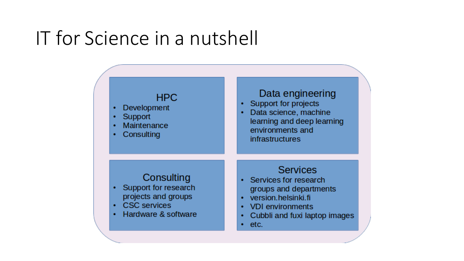### IT for Science in a nutshell

#### **HPC**

- Development
- Support
- Maintenance
- Consulting

#### Data engineering

- Support for projects
- Data science, machine ٠ learning and deep learning environments and **infrastructures**

#### Consulting

- Support for research projects and groups
- **CSC** services
- Hardware & software

#### **Services**

- Services for research groups and departments
- version.helsinki.fi
- **VDI** environments  $\bullet$
- Cubbli and fuxi laptop images ٠
- etc.  $\bullet$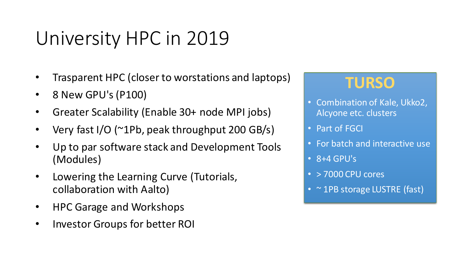## University HPC in 2019

- Trasparent HPC (closer to worstations and laptops)
- 8 New GPU's (P100)
- Greater Scalability (Enable 30+ node MPI jobs)
- Very fast I/O (~1Pb, peak throughput 200 GB/s)
- Up to par software stack and Development Tools (Modules)
- Lowering the Learning Curve (Tutorials, collaboration with Aalto)
- HPC Garage and Workshops
- Investor Groups for better ROI

#### **TURSO**

- Combination of Kale, Ukko2, Alcyone etc. clusters
- Part of FGCI
- For batch and interactive use
- $\cdot$  8+4 GPU's
- > 7000 CPU cores
- ~ 1PB storage LUSTRE (fast)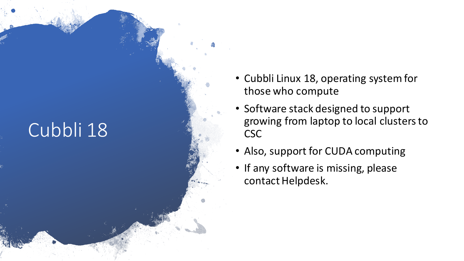## Cubbli 18

- Cubbli Linux 18, operating system for those who compute
- Software stack designed to support growing from laptop to local clusters to CSC
- Also, support for CUDA computing
- If any software is missing, please contact Helpdesk.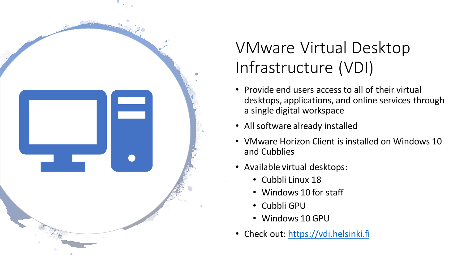

#### VMware Virtual Desktop Infrastructure (VDI)

- Provide end users access to all of their virtual desktops, applications, and online services through a single digital workspace
- All software already installed
- VMware Horizon Client is installed on Windows 10 and Cubblies
- Available virtual desktops:
	- Cubbli Linux 18
	- Windows 10 for staff
	- Cubbli GPU
	- Windows 10 GPU
- Check out: [https://vdi.helsinki.fi](http://Chttps:/vdi.helsinki.fi)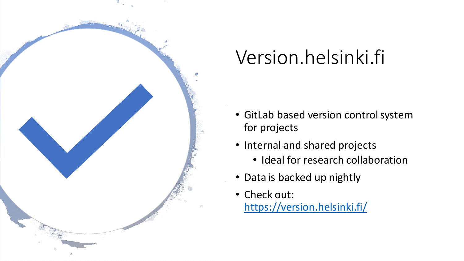

# Version.helsinki.fi

- GitLab based version control system for projects
- Internal and shared projects
	- Ideal for research collaboration
- Data is backed up nightly
- Check out: <https://version.helsinki.fi/>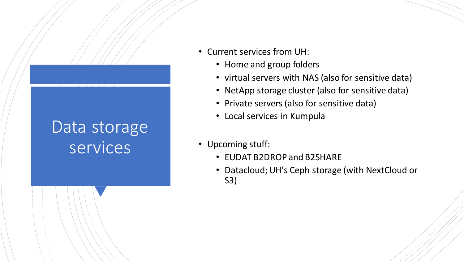#### Data storage services

- Current services from UH:
	- Home and group folders
	- virtual servers with NAS (also for sensitive data)
	- NetApp storage cluster (also for sensitive data)
	- Private servers (also for sensitive data)
	- Local services in Kumpula
- Upcoming stuff:
	- EUDAT B2DROP and B2SHARE
	- Datacloud; UH's Ceph storage (with NextCloud or S3)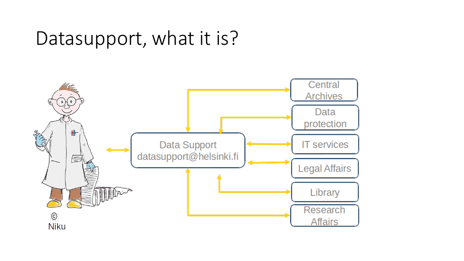### Datasupport, what it is?

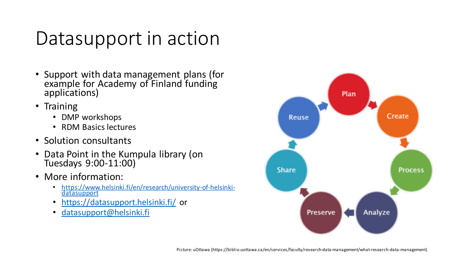### Datasupport in action

- Support with data management plans (for example for Academy of Finland funding applications)
- Training
	- DMP workshops
	- RDM Basics lectures
- Solution consultants
- Data Point in the Kumpula library (on Tuesdays 9:00-11:00)
- More information:
	- [https://www.helsinki.fi/en/research/university-of-helsinki](https://www.helsinki.fi/en/research/university-of-helsinki-datasupport)datasupport
	- <https://datasupport.helsinki.fi/> or
	- [datasupport@helsinki.fi](mailto:datasupport@helsinki.fi)

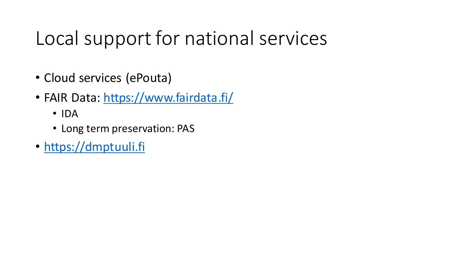## Local support for national services

- Cloud services (ePouta)
- FAIR Data: <https://www.fairdata.fi/>
	- IDA
	- Long term preservation: PAS
- [https://dmptuuli.fi](https://dmptuuli.fi/)